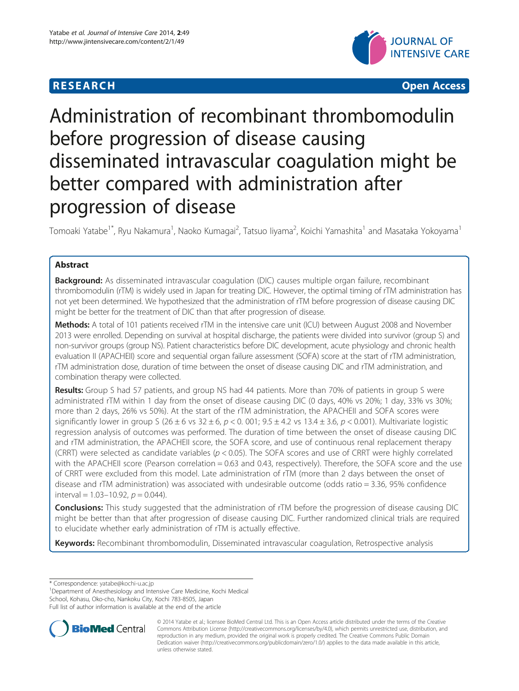# **RESEARCH CHEAR CHEAR CHEAR CHEAR CHEAR CHEAR CHEAR CHEAR CHEAR CHEAR CHEAR CHEAR CHEAR CHEAR CHEAR CHEAR CHEAR**



# Administration of recombinant thrombomodulin before progression of disease causing disseminated intravascular coagulation might be better compared with administration after progression of disease

Tomoaki Yatabe<sup>1\*</sup>, Ryu Nakamura<sup>1</sup>, Naoko Kumagai<sup>2</sup>, Tatsuo liyama<sup>2</sup>, Koichi Yamashita<sup>1</sup> and Masataka Yokoyama<sup>1</sup>

# Abstract

**Background:** As disseminated intravascular coagulation (DIC) causes multiple organ failure, recombinant thrombomodulin (rTM) is widely used in Japan for treating DIC. However, the optimal timing of rTM administration has not yet been determined. We hypothesized that the administration of rTM before progression of disease causing DIC might be better for the treatment of DIC than that after progression of disease.

Methods: A total of 101 patients received rTM in the intensive care unit (ICU) between August 2008 and November 2013 were enrolled. Depending on survival at hospital discharge, the patients were divided into survivor (group S) and non-survivor groups (group NS). Patient characteristics before DIC development, acute physiology and chronic health evaluation II (APACHEII) score and sequential organ failure assessment (SOFA) score at the start of rTM administration, rTM administration dose, duration of time between the onset of disease causing DIC and rTM administration, and combination therapy were collected.

Results: Group S had 57 patients, and group NS had 44 patients. More than 70% of patients in group S were administrated rTM within 1 day from the onset of disease causing DIC (0 days, 40% vs 20%; 1 day, 33% vs 30%; more than 2 days, 26% vs 50%). At the start of the rTM administration, the APACHEII and SOFA scores were significantly lower in group S (26 ± 6 vs  $32 \pm 6$ ,  $p < 0.001$ ;  $9.5 \pm 4.2$  vs  $13.4 \pm 3.6$ ,  $p < 0.001$ ). Multivariate logistic regression analysis of outcomes was performed. The duration of time between the onset of disease causing DIC and rTM administration, the APACHEII score, the SOFA score, and use of continuous renal replacement therapy (CRRT) were selected as candidate variables ( $p < 0.05$ ). The SOFA scores and use of CRRT were highly correlated with the APACHEII score (Pearson correlation = 0.63 and 0.43, respectively). Therefore, the SOFA score and the use of CRRT were excluded from this model. Late administration of rTM (more than 2 days between the onset of disease and rTM administration) was associated with undesirable outcome (odds ratio = 3.36, 95% confidence interval =  $1.03-10.92$ ,  $p = 0.044$ ).

**Conclusions:** This study suggested that the administration of rTM before the progression of disease causing DIC might be better than that after progression of disease causing DIC. Further randomized clinical trials are required to elucidate whether early administration of rTM is actually effective.

Keywords: Recombinant thrombomodulin, Disseminated intravascular coagulation, Retrospective analysis

\* Correspondence: [yatabe@kochi-u.ac.jp](mailto:yatabe@kochi-u.ac.jp) <sup>1</sup>

<sup>1</sup>Department of Anesthesiology and Intensive Care Medicine, Kochi Medical

School, Kohasu, Oko-cho, Nankoku City, Kochi 783-8505, Japan

Full list of author information is available at the end of the article



<sup>© 2014</sup> Yatabe et al.; licensee BioMed Central Ltd. This is an Open Access article distributed under the terms of the Creative Commons Attribution License [\(http://creativecommons.org/licenses/by/4.0\)](http://creativecommons.org/licenses/by/4.0), which permits unrestricted use, distribution, and reproduction in any medium, provided the original work is properly credited. The Creative Commons Public Domain Dedication waiver [\(http://creativecommons.org/publicdomain/zero/1.0/](http://creativecommons.org/publicdomain/zero/1.0/)) applies to the data made available in this article, unless otherwise stated.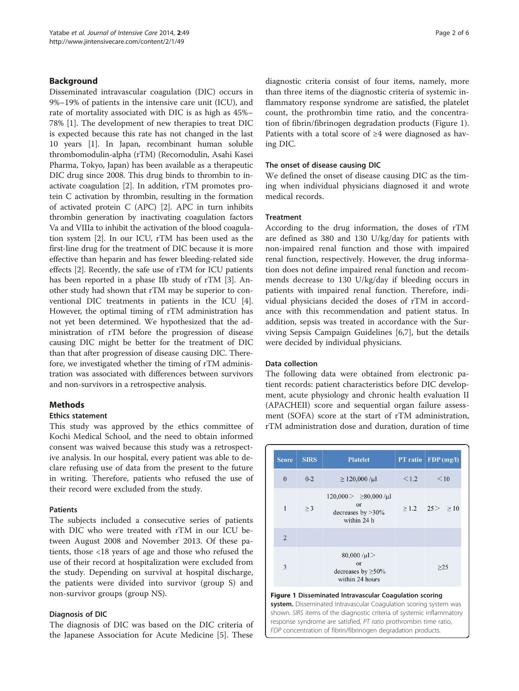# Background

Disseminated intravascular coagulation (DIC) occurs in 9%–19% of patients in the intensive care unit (ICU), and rate of mortality associated with DIC is as high as 45%– 78% [[1\]](#page-4-0). The development of new therapies to treat DIC is expected because this rate has not changed in the last 10 years [\[1](#page-4-0)]. In Japan, recombinant human soluble thrombomodulin-alpha (rTM) (Recomodulin, Asahi Kasei Pharma, Tokyo, Japan) has been available as a therapeutic DIC drug since 2008. This drug binds to thrombin to inactivate coagulation [[2\]](#page-4-0). In addition, rTM promotes protein C activation by thrombin, resulting in the formation of activated protein C (APC) [[2](#page-4-0)]. APC in turn inhibits thrombin generation by inactivating coagulation factors Va and VIIIa to inhibit the activation of the blood coagulation system [\[2](#page-4-0)]. In our ICU, rTM has been used as the first-line drug for the treatment of DIC because it is more effective than heparin and has fewer bleeding-related side effects [\[2](#page-4-0)]. Recently, the safe use of rTM for ICU patients has been reported in a phase IIb study of rTM [[3\]](#page-4-0). Another study had shown that rTM may be superior to conventional DIC treatments in patients in the ICU [[4](#page-5-0)]. However, the optimal timing of rTM administration has not yet been determined. We hypothesized that the administration of rTM before the progression of disease causing DIC might be better for the treatment of DIC than that after progression of disease causing DIC. Therefore, we investigated whether the timing of rTM administration was associated with differences between survivors and non-survivors in a retrospective analysis.

# Methods

# Ethics statement

This study was approved by the ethics committee of Kochi Medical School, and the need to obtain informed consent was waived because this study was a retrospective analysis. In our hospital, every patient was able to declare refusing use of data from the present to the future in writing. Therefore, patients who refused the use of their record were excluded from the study.

#### Patients

The subjects included a consecutive series of patients with DIC who were treated with rTM in our ICU between August 2008 and November 2013. Of these patients, those <18 years of age and those who refused the use of their record at hospitalization were excluded from the study. Depending on survival at hospital discharge, the patients were divided into survivor (group S) and non-survivor groups (group NS).

# Diagnosis of DIC

The diagnosis of DIC was based on the DIC criteria of the Japanese Association for Acute Medicine [\[5\]](#page-5-0). These

diagnostic criteria consist of four items, namely, more than three items of the diagnostic criteria of systemic inflammatory response syndrome are satisfied, the platelet count, the prothrombin time ratio, and the concentration of fibrin/fibrinogen degradation products (Figure 1). Patients with a total score of ≥4 were diagnosed as having DIC.

#### The onset of disease causing DIC

We defined the onset of disease causing DIC as the timing when individual physicians diagnosed it and wrote medical records.

# Treatment

According to the drug information, the doses of rTM are defined as 380 and 130 U/kg/day for patients with non-impaired renal function and those with impaired renal function, respectively. However, the drug information does not define impaired renal function and recommends decrease to 130 U/kg/day if bleeding occurs in patients with impaired renal function. Therefore, individual physicians decided the doses of rTM in accordance with this recommendation and patient status. In addition, sepsis was treated in accordance with the Surviving Sepsis Campaign Guidelines [\[6,7](#page-5-0)], but the details were decided by individual physicians.

#### Data collection

The following data were obtained from electronic patient records: patient characteristics before DIC development, acute physiology and chronic health evaluation II (APACHEII) score and sequential organ failure assessment (SOFA) score at the start of rTM administration, rTM administration dose and duration, duration of time

| <b>Score</b>   | <b>SIRS</b> | <b>Platelet</b>                                                       | <b>PT</b> ratio | FDP(mg/l)               |
|----------------|-------------|-----------------------------------------------------------------------|-----------------|-------------------------|
| $\mathbf{0}$   | $0 - 2$     | $\geq$ 120,000/ $\mu$ l                                               | 1.2             | $\leq 10$               |
| 1              | $\geq$ 3    | $120,000 > 80,000/\mu l$<br>or<br>decreases by $>30\%$<br>within 24 h |                 | $\geq 1.2$ 25 $\geq 10$ |
| $\overline{2}$ |             |                                                                       |                 |                         |
| 3              |             | $80,000/\mu$ l ><br>or<br>decreases by $\geq 50\%$<br>within 24 hours |                 | >25                     |

#### Figure 1 Disseminated Intravascular Coagulation scoring system. Disseminated Intravascular Coagulation scoring system was shown. SIRS items of the diagnostic criteria of systemic inflammatory response syndrome are satisfied, PT ratio prothrombin time ratio, FDP concentration of fibrin/fibrinogen degradation products.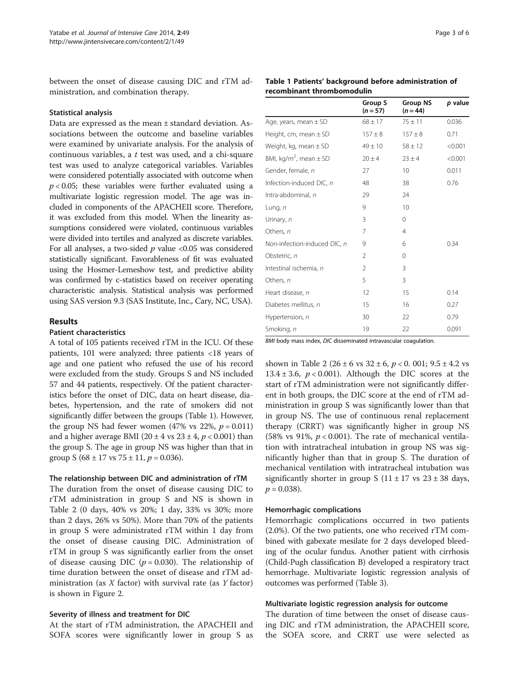between the onset of disease causing DIC and rTM administration, and combination therapy.

#### Statistical analysis

Data are expressed as the mean ± standard deviation. Associations between the outcome and baseline variables were examined by univariate analysis. For the analysis of continuous variables, a  $t$  test was used, and a chi-square test was used to analyze categorical variables. Variables were considered potentially associated with outcome when  $p < 0.05$ ; these variables were further evaluated using a multivariate logistic regression model. The age was included in components of the APACHEII score. Therefore, it was excluded from this model. When the linearity assumptions considered were violated, continuous variables were divided into tertiles and analyzed as discrete variables. For all analyses, a two-sided  $p$  value <0.05 was considered statistically significant. Favorableness of fit was evaluated using the Hosmer-Lemeshow test, and predictive ability was confirmed by c-statistics based on receiver operating characteristic analysis. Statistical analysis was performed using SAS version 9.3 (SAS Institute, Inc., Cary, NC, USA).

#### Results

# Patient characteristics

A total of 105 patients received rTM in the ICU. Of these patients, 101 were analyzed; three patients <18 years of age and one patient who refused the use of his record were excluded from the study. Groups S and NS included 57 and 44 patients, respectively. Of the patient characteristics before the onset of DIC, data on heart disease, diabetes, hypertension, and the rate of smokers did not significantly differ between the groups (Table 1). However, the group NS had fewer women (47% vs 22%,  $p = 0.011$ ) and a higher average BMI (20  $\pm$  4 vs 23  $\pm$  4, p < 0.001) than the group S. The age in group NS was higher than that in group S (68  $\pm$  17 vs 75  $\pm$  11,  $p = 0.036$ ).

#### The relationship between DIC and administration of rTM

The duration from the onset of disease causing DIC to rTM administration in group S and NS is shown in Table [2](#page-3-0) (0 days, 40% vs 20%; 1 day, 33% vs 30%; more than 2 days, 26% vs 50%). More than 70% of the patients in group S were administrated rTM within 1 day from the onset of disease causing DIC. Administration of rTM in group S was significantly earlier from the onset of disease causing DIC ( $p = 0.030$ ). The relationship of time duration between the onset of disease and rTM administration (as  $X$  factor) with survival rate (as  $Y$  factor) is shown in Figure [2.](#page-3-0)

#### Severity of illness and treatment for DIC

At the start of rTM administration, the APACHEII and SOFA scores were significantly lower in group S as

|  |                            | Table 1 Patients' background before administration of |  |
|--|----------------------------|-------------------------------------------------------|--|
|  | recombinant thrombomodulin |                                                       |  |

|                                        | Group S<br>$(n = 57)$ | <b>Group NS</b><br>$(n = 44)$ | p value |
|----------------------------------------|-----------------------|-------------------------------|---------|
| Age, years, mean ± SD                  | $68 \pm 17$           | $75 \pm 11$                   | 0.036   |
| Height, cm, mean $\pm$ SD              | $157 + 8$             | $157 \pm 8$                   | 0.71    |
| Weight, kg, mean $\pm$ SD              | $49 \pm 10$           | $58 \pm 12$                   | < 0.001 |
| BMI, kg/m <sup>2</sup> , mean $\pm$ SD | $20 \pm 4$            | $23 \pm 4$                    | < 0.001 |
| Gender, female, n                      | 27                    | 10                            | 0.011   |
| Infection-induced DIC, n               | 48                    | 38                            | 0.76    |
| Intra-abdominal, n                     | 29                    | 24                            |         |
| Lung, n                                | 9                     | 10                            |         |
| Urinary, n                             | 3                     | 0                             |         |
| Others, n                              | 7                     | $\overline{4}$                |         |
| Non-infection-induced DIC, n           | 9                     | 6                             | 0.34    |
| Obstetric, n                           | $\overline{2}$        | 0                             |         |
| Intestinal ischemia, n                 | $\overline{2}$        | 3                             |         |
| Others, n                              | 5                     | 3                             |         |
| Heart disease, n                       | 12                    | 15                            | 0.14    |
| Diabetes mellitus, n                   | 15                    | 16                            | 0.27    |
| Hypertension, n                        | 30                    | 22                            | 0.79    |
| Smoking, n                             | 19                    | 22                            | 0.091   |

BMI body mass index, DIC disseminated intravascular coagulation.

shown in Table [2](#page-3-0) (26  $\pm$  6 vs 32  $\pm$  6,  $p$  < 0. 001; 9.5  $\pm$  4.2 vs 13.4  $\pm$  3.6,  $p < 0.001$ ). Although the DIC scores at the start of rTM administration were not significantly different in both groups, the DIC score at the end of rTM administration in group S was significantly lower than that in group NS. The use of continuous renal replacement therapy (CRRT) was significantly higher in group NS (58% vs 91%,  $p < 0.001$ ). The rate of mechanical ventilation with intratracheal intubation in group NS was significantly higher than that in group S. The duration of mechanical ventilation with intratracheal intubation was significantly shorter in group S  $(11 \pm 17 \text{ vs } 23 \pm 38 \text{ days})$ ,  $p = 0.038$ ).

#### Hemorrhagic complications

Hemorrhagic complications occurred in two patients (2.0%). Of the two patients, one who received rTM combined with gabexate mesilate for 2 days developed bleeding of the ocular fundus. Another patient with cirrhosis (Child-Pugh classification B) developed a respiratory tract hemorrhage. Multivariate logistic regression analysis of outcomes was performed (Table [3\)](#page-3-0).

#### Multivariate logistic regression analysis for outcome

The duration of time between the onset of disease causing DIC and rTM administration, the APACHEII score, the SOFA score, and CRRT use were selected as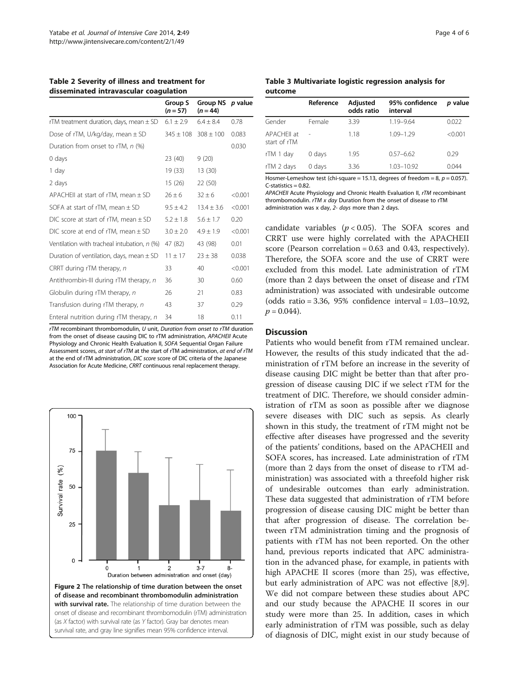<span id="page-3-0"></span>Table 2 Severity of illness and treatment for disseminated intravascular coagulation

|                                              | Group S<br>$(n = 57)$ | <b>Group NS</b><br>$(n = 44)$ | <i>p</i> value |
|----------------------------------------------|-----------------------|-------------------------------|----------------|
| rTM treatment duration, days, mean $\pm$ SD  | $6.1 \pm 2.9$         | $6.4 + 8.4$                   | 0.78           |
| Dose of rTM, U/kg/day, mean $\pm$ SD         | $345 \pm 108$         | $308 \pm 100$                 | 0.083          |
| Duration from onset to rTM, n (%)            |                       |                               | 0.030          |
| $0$ days                                     | 23 (40)               | 9(20)                         |                |
| 1 day                                        | 19 (33)               | 13 (30)                       |                |
| 2 days                                       | 15(26)                | 22 (50)                       |                |
| APACHEII at start of rTM, mean $\pm$ SD      | $26 \pm 6$            | $32 \pm 6$                    | < 0.001        |
| SOFA at start of rTM, mean $\pm$ SD          | $9.5 \pm 4.2$         | $13.4 + 3.6$                  | < 0.001        |
| DIC score at start of rTM, mean $\pm$ SD     | $5.2 \pm 1.8$         | $5.6 \pm 1.7$                 | 0.20           |
| DIC score at end of rTM, mean $\pm$ SD       | $3.0 \pm 2.0$         | $4.9 \pm 1.9$                 | < 0.001        |
| Ventilation with tracheal intubation, n (%)  | 47 (82)               | 43 (98)                       | 0.01           |
| Duration of ventilation, days, mean $\pm$ SD | $11 + 17$             | $23 \pm 38$                   | 0.038          |
| CRRT during rTM therapy, n                   | 33                    | 40                            | < 0.001        |
| Antithrombin-III during rTM therapy, n       | 36                    | 30                            | 0.60           |
| Globulin during rTM therapy, n               | 26                    | 21                            | 0.83           |
| Transfusion during rTM therapy, n            | 43                    | 37                            | 0.29           |
| Enteral nutrition during rTM therapy, n      | 34                    | 18                            | 0.11           |

rTM recombinant thrombomodulin, U unit, Duration from onset to rTM duration from the onset of disease causing DIC to rTM administration, APACHEII Acute Physiology and Chronic Health Evaluation II, SOFA Sequential Organ Failure Assessment scores, at start of rTM at the start of rTM administration, at end of rTM at the end of rTM administration, DIC score score of DIC criteria of the Japanese Association for Acute Medicine, CRRT continuous renal replacement therapy.



#### Table 3 Multivariate logistic regression analysis for outcome

|                             | Reference | Adjusted<br>odds ratio | 95% confidence<br>interval | <i>p</i> value |
|-----------------------------|-----------|------------------------|----------------------------|----------------|
| Gender                      | Female    | 3.39                   | $1.19 - 9.64$              | 0.022          |
| APACHFII at<br>start of rTM |           | 1.18                   | 1.09-1.29                  | < 0.001        |
| rTM 1 day                   | 0 days    | 1.95                   | $0.57 - 6.62$              | 0.29           |
| rTM 2 days                  | 0 days    | 3.36                   | 1.03-10.92                 | 0.044          |

Hosmer-Lemeshow test (chi-square = 15.13, degrees of freedom = 8,  $p = 0.057$ ).  $C$ -statistics  $-0.82$ 

APACHEII Acute Physiology and Chronic Health Evaluation II, rTM recombinant thrombomodulin. rTM x day Duration from the onset of disease to rTM administration was x day, 2- days more than 2 days.

candidate variables ( $p < 0.05$ ). The SOFA scores and CRRT use were highly correlated with the APACHEII score (Pearson correlation =  $0.63$  and  $0.43$ , respectively). Therefore, the SOFA score and the use of CRRT were excluded from this model. Late administration of rTM (more than 2 days between the onset of disease and rTM administration) was associated with undesirable outcome (odds ratio = 3.36, 95% confidence interval = 1.03–10.92,  $p = 0.044$ ).

#### Discussion

Patients who would benefit from rTM remained unclear. However, the results of this study indicated that the administration of rTM before an increase in the severity of disease causing DIC might be better than that after progression of disease causing DIC if we select rTM for the treatment of DIC. Therefore, we should consider administration of rTM as soon as possible after we diagnose severe diseases with DIC such as sepsis. As clearly shown in this study, the treatment of rTM might not be effective after diseases have progressed and the severity of the patients' conditions, based on the APACHEII and SOFA scores, has increased. Late administration of rTM (more than 2 days from the onset of disease to rTM administration) was associated with a threefold higher risk of undesirable outcomes than early administration. These data suggested that administration of rTM before progression of disease causing DIC might be better than that after progression of disease. The correlation between rTM administration timing and the prognosis of patients with rTM has not been reported. On the other hand, previous reports indicated that APC administration in the advanced phase, for example, in patients with high APACHE II scores (more than 25), was effective, but early administration of APC was not effective [\[8,9](#page-5-0)]. We did not compare between these studies about APC and our study because the APACHE II scores in our study were more than 25. In addition, cases in which early administration of rTM was possible, such as delay of diagnosis of DIC, might exist in our study because of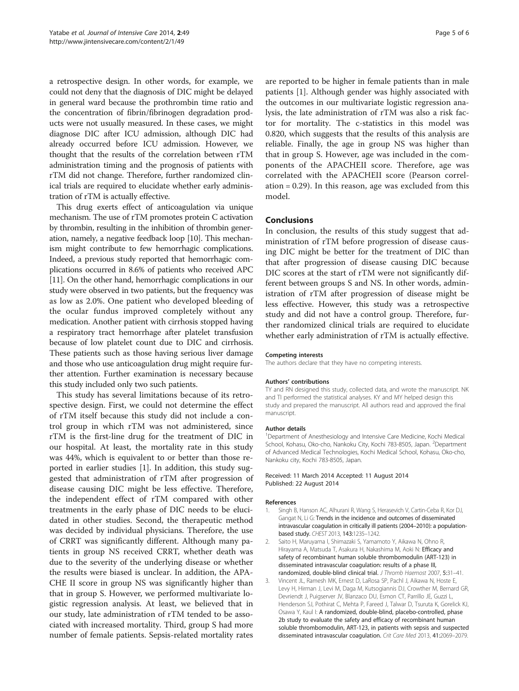<span id="page-4-0"></span>a retrospective design. In other words, for example, we could not deny that the diagnosis of DIC might be delayed in general ward because the prothrombin time ratio and the concentration of fibrin/fibrinogen degradation products were not usually measured. In these cases, we might diagnose DIC after ICU admission, although DIC had already occurred before ICU admission. However, we thought that the results of the correlation between rTM administration timing and the prognosis of patients with rTM did not change. Therefore, further randomized clinical trials are required to elucidate whether early administration of rTM is actually effective.

This drug exerts effect of anticoagulation via unique mechanism. The use of rTM promotes protein C activation by thrombin, resulting in the inhibition of thrombin generation, namely, a negative feedback loop [[10](#page-5-0)]. This mechanism might contribute to few hemorrhagic complications. Indeed, a previous study reported that hemorrhagic complications occurred in 8.6% of patients who received APC [[11](#page-5-0)]. On the other hand, hemorrhagic complications in our study were observed in two patients, but the frequency was as low as 2.0%. One patient who developed bleeding of the ocular fundus improved completely without any medication. Another patient with cirrhosis stopped having a respiratory tract hemorrhage after platelet transfusion because of low platelet count due to DIC and cirrhosis. These patients such as those having serious liver damage and those who use anticoagulation drug might require further attention. Further examination is necessary because this study included only two such patients.

This study has several limitations because of its retrospective design. First, we could not determine the effect of rTM itself because this study did not include a control group in which rTM was not administered, since rTM is the first-line drug for the treatment of DIC in our hospital. At least, the mortality rate in this study was 44%, which is equivalent to or better than those reported in earlier studies [1]. In addition, this study suggested that administration of rTM after progression of disease causing DIC might be less effective. Therefore, the independent effect of rTM compared with other treatments in the early phase of DIC needs to be elucidated in other studies. Second, the therapeutic method was decided by individual physicians. Therefore, the use of CRRT was significantly different. Although many patients in group NS received CRRT, whether death was due to the severity of the underlying disease or whether the results were biased is unclear. In addition, the APA-CHE II score in group NS was significantly higher than that in group S. However, we performed multivariate logistic regression analysis. At least, we believed that in our study, late administration of rTM tended to be associated with increased mortality. Third, group S had more number of female patients. Sepsis-related mortality rates

are reported to be higher in female patients than in male patients [1]. Although gender was highly associated with the outcomes in our multivariate logistic regression analysis, the late administration of rTM was also a risk factor for mortality. The c-statistics in this model was 0.820, which suggests that the results of this analysis are reliable. Finally, the age in group NS was higher than that in group S. However, age was included in the components of the APACHEII score. Therefore, age was correlated with the APACHEII score (Pearson correlation = 0.29). In this reason, age was excluded from this model.

#### Conclusions

In conclusion, the results of this study suggest that administration of rTM before progression of disease causing DIC might be better for the treatment of DIC than that after progression of disease causing DIC because DIC scores at the start of rTM were not significantly different between groups S and NS. In other words, administration of rTM after progression of disease might be less effective. However, this study was a retrospective study and did not have a control group. Therefore, further randomized clinical trials are required to elucidate whether early administration of rTM is actually effective.

#### Competing interests

The authors declare that they have no competing interests.

#### Authors' contributions

TY and RN designed this study, collected data, and wrote the manuscript. NK and TI performed the statistical analyses. KY and MY helped design this study and prepared the manuscript. All authors read and approved the final manuscript.

#### Author details

<sup>1</sup>Department of Anesthesiology and Intensive Care Medicine, Kochi Medical School, Kohasu, Oko-cho, Nankoku City, Kochi 783-8505, Japan. <sup>2</sup>Department of Advanced Medical Technologies, Kochi Medical School, Kohasu, Oko-cho, Nankoku city, Kochi 783-8505, Japan.

#### Received: 11 March 2014 Accepted: 11 August 2014 Published: 22 August 2014

#### References

- 1. Singh B, Hanson AC, Alhurani R, Wang S, Herasevich V, Cartin-Ceba R, Kor DJ, Gangat N, Li G: Trends in the incidence and outcomes of disseminated intravascular coagulation in critically ill patients (2004–2010): a populationbased study. CHEST 2013, 143:1235–1242.
- 2. Saito H, Maruyama I, Shimazaki S, Yamamoto Y, Aikawa N, Ohno R, Hirayama A, Matsuda T, Asakura H, Nakashima M, Aoki N: Efficacy and safety of recombinant human soluble thrombomodulin (ART-123) in disseminated intravascular coagulation: results of a phase III, randomized, double-blind clinical trial. J Thromb Haemost 2007, 5:31–41.
- 3. Vincent JL, Ramesh MK, Ernest D, LaRosa SP, Pachl J, Aikawa N, Hoste E, Levy H, Hirman J, Levi M, Daga M, Kutsogiannis DJ, Crowther M, Bernard GR, Devriendt J, Puigserver JV, Blanzaco DU, Esmon CT, Parrillo JE, Guzzi L, Henderson SJ, Pothirat C, Mehta P, Fareed J, Talwar D, Tsuruta K, Gorelick KJ, Osawa Y, Kaul I: A randomized, double-blind, placebo-controlled, phase 2b study to evaluate the safety and efficacy of recombinant human soluble thrombomodulin, ART-123, in patients with sepsis and suspected disseminated intravascular coagulation. Crit Care Med 2013, 41:2069–2079.